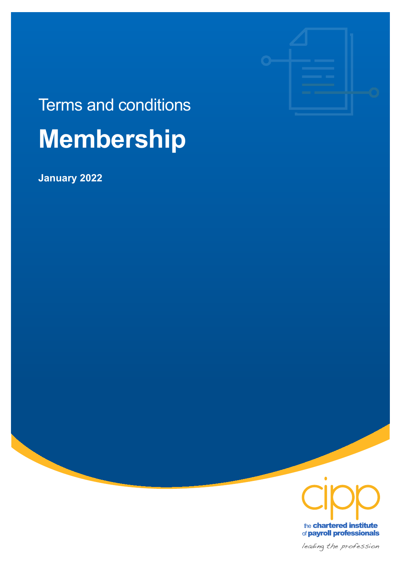

# Terms and conditions **Membership**

**January 2022** 



the chartered institute of payroll professionals

leading the profession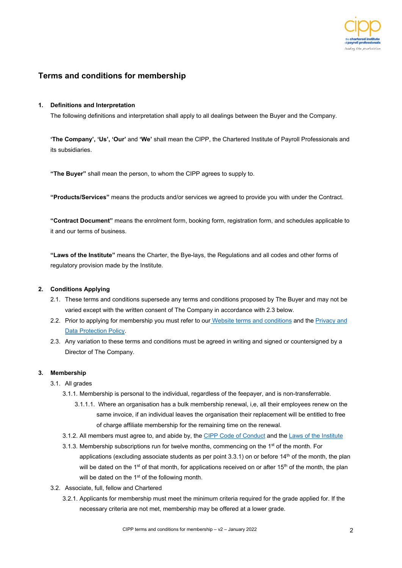

## **Terms and conditions for membership**

#### **1. Definitions and Interpretation**

The following definitions and interpretation shall apply to all dealings between the Buyer and the Company.

**'The Company', 'Us', 'Our'** and **'We'** shall mean the CIPP, the Chartered Institute of Payroll Professionals and its subsidiaries.

**"The Buyer"** shall mean the person, to whom the CIPP agrees to supply to.

**"Products/Services"** means the products and/or services we agreed to provide you with under the Contract.

**"Contract Document"** means the enrolment form, booking form, registration form, and schedules applicable to it and our terms of business.

**"Laws of the Institute"** means the Charter, the Bye-lays, the Regulations and all codes and other forms of regulatory provision made by the Institute.

#### **2. Conditions Applying**

- 2.1. These terms and conditions supersede any terms and conditions proposed by The Buyer and may not be varied except with the written consent of The Company in accordance with 2.3 below.
- 2.2. Prior to applying for membership you must refer to our [Website terms and conditions](https://www.cipp.org.uk/uploads/assets/a4f07f59-38b6-48b1-86c080e38c3a6073/CIPP%20terms%20and%20conditions%20-%20Website%20use.pdf) and the Privacy and [Data Protection Policy.](https://www.cipp.org.uk/about-us/privacy-policy.html)
- 2.3. Any variation to these terms and conditions must be agreed in writing and signed or countersigned by a Director of The Company.

#### **3. Membership**

- 3.1. All grades
	- 3.1.1. Membership is personal to the individual, regardless of the feepayer, and is non-transferrable.
		- 3.1.1.1. Where an organisation has a bulk membership renewal, i,e, all their employees renew on the same invoice, if an individual leaves the organisation their replacement will be entitled to free of charge affiliate membership for the remaining time on the renewal.
	- 3.1.2. All members must agree to, and abide by, the [CIPP Code of Conduct](https://www.cipp.org.uk/about-us/code-of-conduct.html) and the [Laws of the Institute](https://www.cipp.org.uk/about-us/institute-information.html)
	- 3.1.3. Membership subscriptions run for twelve months, commencing on the 1<sup>st</sup> of the month. For applications (excluding associate students as per point  $3.3.1$ ) on or before  $14<sup>th</sup>$  of the month, the plan will be dated on the 1<sup>st</sup> of that month, for applications received on or after 15<sup>th</sup> of the month, the plan will be dated on the 1<sup>st</sup> of the following month.
- 3.2. Associate, full, fellow and Chartered
	- 3.2.1. Applicants for membership must meet the minimum criteria required for the grade applied for. If the necessary criteria are not met, membership may be offered at a lower grade.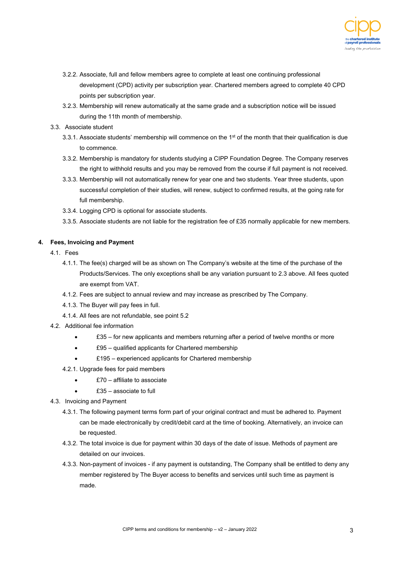

- 3.2.2. Associate, full and fellow members agree to complete at least one continuing professional development (CPD) activity per subscription year. Chartered members agreed to complete 40 CPD points per subscription year.
- 3.2.3. Membership will renew automatically at the same grade and a subscription notice will be issued during the 11th month of membership.
- 3.3. Associate student
	- 3.3.1. Associate students' membership will commence on the 1<sup>st</sup> of the month that their qualification is due to commence.
	- 3.3.2. Membership is mandatory for students studying a CIPP Foundation Degree. The Company reserves the right to withhold results and you may be removed from the course if full payment is not received.
	- 3.3.3. Membership will not automatically renew for year one and two students. Year three students, upon successful completion of their studies, will renew, subject to confirmed results, at the going rate for full membership.
	- 3.3.4. Logging CPD is optional for associate students.
	- 3.3.5. Associate students are not liable for the registration fee of £35 normally applicable for new members.

#### **4. Fees, Invoicing and Payment**

- 4.1. Fees
	- 4.1.1. The fee(s) charged will be as shown on The Company's website at the time of the purchase of the Products/Services. The only exceptions shall be any variation pursuant to 2.3 above. All fees quoted are exempt from VAT.
	- 4.1.2. Fees are subject to annual review and may increase as prescribed by The Company.
	- 4.1.3. The Buyer will pay fees in full.
	- 4.1.4. All fees are not refundable, see point 5.2
- 4.2. Additional fee information
	- $£35 -$  for new applicants and members returning after a period of twelve months or more
	- £95 qualified applicants for Chartered membership
	- £195 experienced applicants for Chartered membership
	- 4.2.1. Upgrade fees for paid members
		- £70 affiliate to associate
		- $£35 -$  associate to full
- 4.3. Invoicing and Payment
	- 4.3.1. The following payment terms form part of your original contract and must be adhered to. Payment can be made electronically by credit/debit card at the time of booking. Alternatively, an invoice can be requested.
	- 4.3.2. The total invoice is due for payment within 30 days of the date of issue. Methods of payment are detailed on our invoices.
	- 4.3.3. Non-payment of invoices if any payment is outstanding, The Company shall be entitled to deny any member registered by The Buyer access to benefits and services until such time as payment is made.